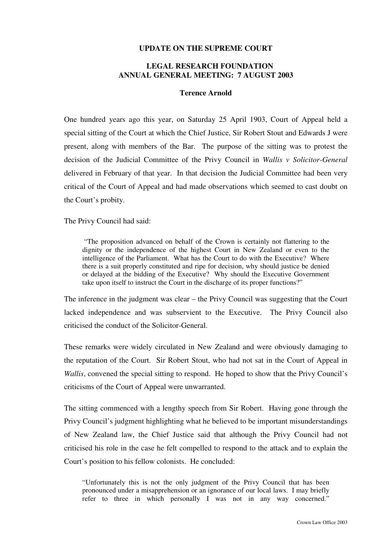## **UPDATE ON THE SUPREME COURT**

## **LEGAL RESEARCH FOUNDATION ANNUAL GENERAL MEETING: 7 AUGUST 2003**

### **Terence Arnold**

One hundred years ago this year, on Saturday 25 April 1903, Court of Appeal held a special sitting of the Court at which the Chief Justice, Sir Robert Stout and Edwards J were present, along with members of the Bar. The purpose of the sitting was to protest the decision of the Judicial Committee of the Privy Council in *Wallis v Solicitor-General* delivered in February of that year. In that decision the Judicial Committee had been very critical of the Court of Appeal and had made observations which seemed to cast doubt on the Court's probity.

The Privy Council had said:

"The proposition advanced on behalf of the Crown is certainly not flattering to the dignity or the independence of the highest Court in New Zealand or even to the intelligence of the Parliament. What has the Court to do with the Executive? Where there is a suit properly constituted and ripe for decision, why should justice be denied or delayed at the bidding of the Executive? Why should the Executive Government take upon itself to instruct the Court in the discharge of its proper functions?"

The inference in the judgment was clear – the Privy Council was suggesting that the Court lacked independence and was subservient to the Executive. The Privy Council also criticised the conduct of the Solicitor-General.

These remarks were widely circulated in New Zealand and were obviously damaging to the reputation of the Court. Sir Robert Stout, who had not sat in the Court of Appeal in *Wallis*, convened the special sitting to respond. He hoped to show that the Privy Council's criticisms of the Court of Appeal were unwarranted.

The sitting commenced with a lengthy speech from Sir Robert. Having gone through the Privy Council's judgment highlighting what he believed to be important misunderstandings of New Zealand law, the Chief Justice said that although the Privy Council had not criticised his role in the case he felt compelled to respond to the attack and to explain the Court's position to his fellow colonists. He concluded:

"Unfortunately this is not the only judgment of the Privy Council that has been pronounced under a misapprehension or an ignorance of our local laws. I may briefly refer to three in which personally I was not in any way concerned."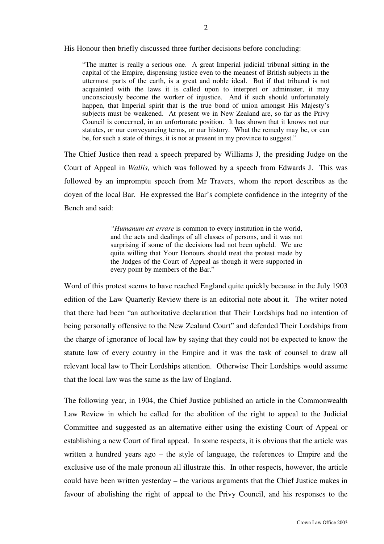His Honour then briefly discussed three further decisions before concluding:

"The matter is really a serious one. A great Imperial judicial tribunal sitting in the capital of the Empire, dispensing justice even to the meanest of British subjects in the uttermost parts of the earth, is a great and noble ideal. But if that tribunal is not acquainted with the laws it is called upon to interpret or administer, it may unconsciously become the worker of injustice. And if such should unfortunately happen, that Imperial spirit that is the true bond of union amongst His Majesty's subjects must be weakened. At present we in New Zealand are, so far as the Privy Council is concerned, in an unfortunate position. It has shown that it knows not our statutes, or our conveyancing terms, or our history. What the remedy may be, or can be, for such a state of things, it is not at present in my province to suggest."

The Chief Justice then read a speech prepared by Williams J, the presiding Judge on the Court of Appeal in *Wallis,* which was followed by a speech from Edwards J. This was followed by an impromptu speech from Mr Travers, whom the report describes as the doyen of the local Bar. He expressed the Bar's complete confidence in the integrity of the Bench and said:

> *"Humanum est errare* is common to every institution in the world, and the acts and dealings of all classes of persons, and it was not surprising if some of the decisions had not been upheld. We are quite willing that Your Honours should treat the protest made by the Judges of the Court of Appeal as though it were supported in every point by members of the Bar."

Word of this protest seems to have reached England quite quickly because in the July 1903 edition of the Law Quarterly Review there is an editorial note about it. The writer noted that there had been "an authoritative declaration that Their Lordships had no intention of being personally offensive to the New Zealand Court" and defended Their Lordships from the charge of ignorance of local law by saying that they could not be expected to know the statute law of every country in the Empire and it was the task of counsel to draw all relevant local law to Their Lordships attention. Otherwise Their Lordships would assume that the local law was the same as the law of England.

The following year, in 1904, the Chief Justice published an article in the Commonwealth Law Review in which he called for the abolition of the right to appeal to the Judicial Committee and suggested as an alternative either using the existing Court of Appeal or establishing a new Court of final appeal. In some respects, it is obvious that the article was written a hundred years ago – the style of language, the references to Empire and the exclusive use of the male pronoun all illustrate this. In other respects, however, the article could have been written yesterday – the various arguments that the Chief Justice makes in favour of abolishing the right of appeal to the Privy Council, and his responses to the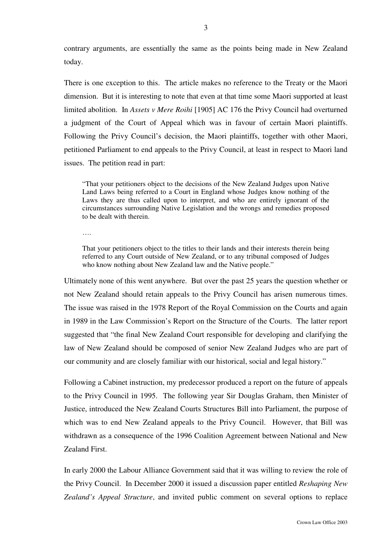contrary arguments, are essentially the same as the points being made in New Zealand today.

There is one exception to this. The article makes no reference to the Treaty or the Maori dimension. But it is interesting to note that even at that time some Maori supported at least limited abolition. In *Assets v Mere Roihi* [1905] AC 176 the Privy Council had overturned a judgment of the Court of Appeal which was in favour of certain Maori plaintiffs. Following the Privy Council's decision, the Maori plaintiffs, together with other Maori, petitioned Parliament to end appeals to the Privy Council, at least in respect to Maori land issues. The petition read in part:

"That your petitioners object to the decisions of the New Zealand Judges upon Native Land Laws being referred to a Court in England whose Judges know nothing of the Laws they are thus called upon to interpret, and who are entirely ignorant of the circumstances surrounding Native Legislation and the wrongs and remedies proposed to be dealt with therein.

….

That your petitioners object to the titles to their lands and their interests therein being referred to any Court outside of New Zealand, or to any tribunal composed of Judges who know nothing about New Zealand law and the Native people."

Ultimately none of this went anywhere. But over the past 25 years the question whether or not New Zealand should retain appeals to the Privy Council has arisen numerous times. The issue was raised in the 1978 Report of the Royal Commission on the Courts and again in 1989 in the Law Commission's Report on the Structure of the Courts. The latter report suggested that "the final New Zealand Court responsible for developing and clarifying the law of New Zealand should be composed of senior New Zealand Judges who are part of our community and are closely familiar with our historical, social and legal history."

Following a Cabinet instruction, my predecessor produced a report on the future of appeals to the Privy Council in 1995. The following year Sir Douglas Graham, then Minister of Justice, introduced the New Zealand Courts Structures Bill into Parliament, the purpose of which was to end New Zealand appeals to the Privy Council. However, that Bill was withdrawn as a consequence of the 1996 Coalition Agreement between National and New Zealand First.

In early 2000 the Labour Alliance Government said that it was willing to review the role of the Privy Council. In December 2000 it issued a discussion paper entitled *Reshaping New Zealand's Appeal Structure*, and invited public comment on several options to replace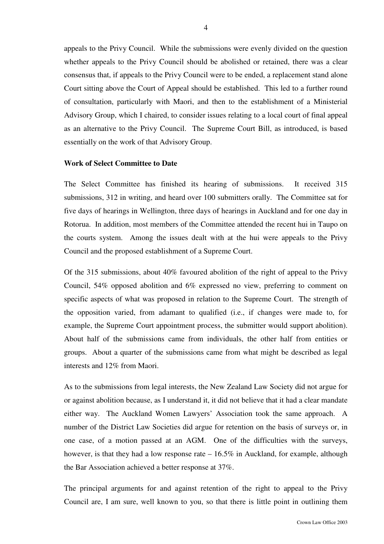appeals to the Privy Council. While the submissions were evenly divided on the question whether appeals to the Privy Council should be abolished or retained, there was a clear consensus that, if appeals to the Privy Council were to be ended, a replacement stand alone Court sitting above the Court of Appeal should be established. This led to a further round of consultation, particularly with Maori, and then to the establishment of a Ministerial Advisory Group, which I chaired, to consider issues relating to a local court of final appeal as an alternative to the Privy Council. The Supreme Court Bill, as introduced, is based essentially on the work of that Advisory Group.

#### **Work of Select Committee to Date**

The Select Committee has finished its hearing of submissions. It received 315 submissions, 312 in writing, and heard over 100 submitters orally. The Committee sat for five days of hearings in Wellington, three days of hearings in Auckland and for one day in Rotorua. In addition, most members of the Committee attended the recent hui in Taupo on the courts system. Among the issues dealt with at the hui were appeals to the Privy Council and the proposed establishment of a Supreme Court.

Of the 315 submissions, about 40% favoured abolition of the right of appeal to the Privy Council, 54% opposed abolition and 6% expressed no view, preferring to comment on specific aspects of what was proposed in relation to the Supreme Court. The strength of the opposition varied, from adamant to qualified (i.e., if changes were made to, for example, the Supreme Court appointment process, the submitter would support abolition). About half of the submissions came from individuals, the other half from entities or groups. About a quarter of the submissions came from what might be described as legal interests and 12% from Maori.

As to the submissions from legal interests, the New Zealand Law Society did not argue for or against abolition because, as I understand it, it did not believe that it had a clear mandate either way. The Auckland Women Lawyers' Association took the same approach. A number of the District Law Societies did argue for retention on the basis of surveys or, in one case, of a motion passed at an AGM. One of the difficulties with the surveys, however, is that they had a low response rate – 16.5% in Auckland, for example, although the Bar Association achieved a better response at 37%.

The principal arguments for and against retention of the right to appeal to the Privy Council are, I am sure, well known to you, so that there is little point in outlining them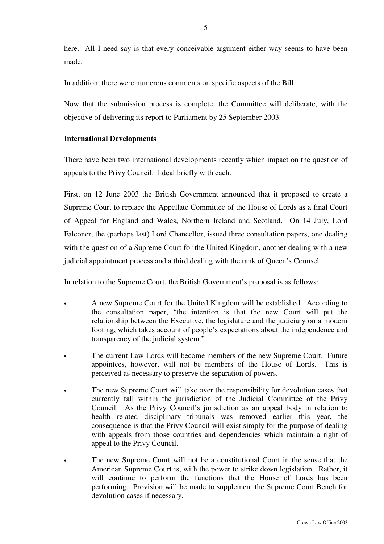here. All I need say is that every conceivable argument either way seems to have been made.

In addition, there were numerous comments on specific aspects of the Bill.

Now that the submission process is complete, the Committee will deliberate, with the objective of delivering its report to Parliament by 25 September 2003.

# **International Developments**

There have been two international developments recently which impact on the question of appeals to the Privy Council. I deal briefly with each.

First, on 12 June 2003 the British Government announced that it proposed to create a Supreme Court to replace the Appellate Committee of the House of Lords as a final Court of Appeal for England and Wales, Northern Ireland and Scotland. On 14 July, Lord Falconer, the (perhaps last) Lord Chancellor, issued three consultation papers, one dealing with the question of a Supreme Court for the United Kingdom, another dealing with a new judicial appointment process and a third dealing with the rank of Queen's Counsel.

In relation to the Supreme Court, the British Government's proposal is as follows:

- A new Supreme Court for the United Kingdom will be established. According to the consultation paper, "the intention is that the new Court will put the relationship between the Executive, the legislature and the judiciary on a modern footing, which takes account of people's expectations about the independence and transparency of the judicial system."
- The current Law Lords will become members of the new Supreme Court. Future appointees, however, will not be members of the House of Lords. This is perceived as necessary to preserve the separation of powers.
- The new Supreme Court will take over the responsibility for devolution cases that currently fall within the jurisdiction of the Judicial Committee of the Privy Council. As the Privy Council's jurisdiction as an appeal body in relation to health related disciplinary tribunals was removed earlier this year, the consequence is that the Privy Council will exist simply for the purpose of dealing with appeals from those countries and dependencies which maintain a right of appeal to the Privy Council.
- The new Supreme Court will not be a constitutional Court in the sense that the American Supreme Court is, with the power to strike down legislation. Rather, it will continue to perform the functions that the House of Lords has been performing. Provision will be made to supplement the Supreme Court Bench for devolution cases if necessary.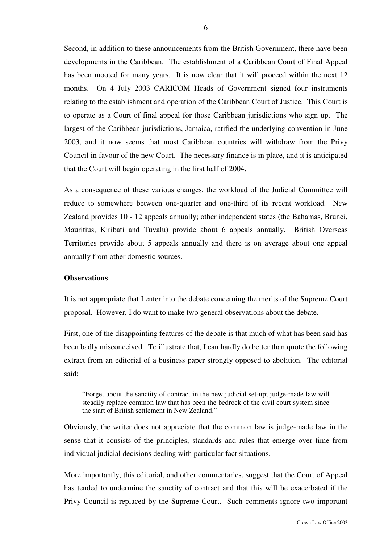Second, in addition to these announcements from the British Government, there have been developments in the Caribbean. The establishment of a Caribbean Court of Final Appeal has been mooted for many years. It is now clear that it will proceed within the next 12 months. On 4 July 2003 CARICOM Heads of Government signed four instruments relating to the establishment and operation of the Caribbean Court of Justice. This Court is to operate as a Court of final appeal for those Caribbean jurisdictions who sign up. The largest of the Caribbean jurisdictions, Jamaica, ratified the underlying convention in June 2003, and it now seems that most Caribbean countries will withdraw from the Privy Council in favour of the new Court. The necessary finance is in place, and it is anticipated that the Court will begin operating in the first half of 2004.

As a consequence of these various changes, the workload of the Judicial Committee will reduce to somewhere between one-quarter and one-third of its recent workload. New Zealand provides 10 - 12 appeals annually; other independent states (the Bahamas, Brunei, Mauritius, Kiribati and Tuvalu) provide about 6 appeals annually. British Overseas Territories provide about 5 appeals annually and there is on average about one appeal annually from other domestic sources.

### **Observations**

It is not appropriate that I enter into the debate concerning the merits of the Supreme Court proposal. However, I do want to make two general observations about the debate.

First, one of the disappointing features of the debate is that much of what has been said has been badly misconceived. To illustrate that, I can hardly do better than quote the following extract from an editorial of a business paper strongly opposed to abolition. The editorial said:

"Forget about the sanctity of contract in the new judicial set-up; judge-made law will steadily replace common law that has been the bedrock of the civil court system since the start of British settlement in New Zealand."

Obviously, the writer does not appreciate that the common law is judge-made law in the sense that it consists of the principles, standards and rules that emerge over time from individual judicial decisions dealing with particular fact situations.

More importantly, this editorial, and other commentaries, suggest that the Court of Appeal has tended to undermine the sanctity of contract and that this will be exacerbated if the Privy Council is replaced by the Supreme Court. Such comments ignore two important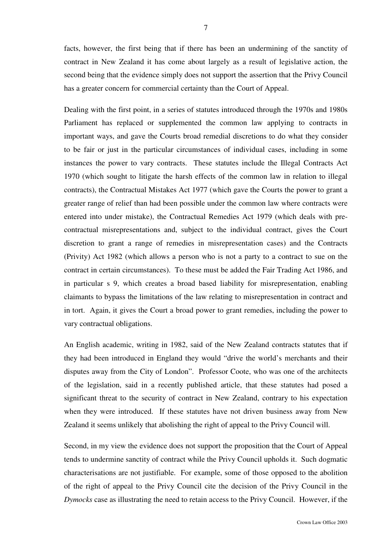facts, however, the first being that if there has been an undermining of the sanctity of contract in New Zealand it has come about largely as a result of legislative action, the second being that the evidence simply does not support the assertion that the Privy Council has a greater concern for commercial certainty than the Court of Appeal.

Dealing with the first point, in a series of statutes introduced through the 1970s and 1980s Parliament has replaced or supplemented the common law applying to contracts in important ways, and gave the Courts broad remedial discretions to do what they consider to be fair or just in the particular circumstances of individual cases, including in some instances the power to vary contracts. These statutes include the Illegal Contracts Act 1970 (which sought to litigate the harsh effects of the common law in relation to illegal contracts), the Contractual Mistakes Act 1977 (which gave the Courts the power to grant a greater range of relief than had been possible under the common law where contracts were entered into under mistake), the Contractual Remedies Act 1979 (which deals with precontractual misrepresentations and, subject to the individual contract, gives the Court discretion to grant a range of remedies in misrepresentation cases) and the Contracts (Privity) Act 1982 (which allows a person who is not a party to a contract to sue on the contract in certain circumstances). To these must be added the Fair Trading Act 1986, and in particular s 9, which creates a broad based liability for misrepresentation, enabling claimants to bypass the limitations of the law relating to misrepresentation in contract and in tort. Again, it gives the Court a broad power to grant remedies, including the power to vary contractual obligations.

An English academic, writing in 1982, said of the New Zealand contracts statutes that if they had been introduced in England they would "drive the world's merchants and their disputes away from the City of London". Professor Coote, who was one of the architects of the legislation, said in a recently published article, that these statutes had posed a significant threat to the security of contract in New Zealand, contrary to his expectation when they were introduced. If these statutes have not driven business away from New Zealand it seems unlikely that abolishing the right of appeal to the Privy Council will.

Second, in my view the evidence does not support the proposition that the Court of Appeal tends to undermine sanctity of contract while the Privy Council upholds it. Such dogmatic characterisations are not justifiable. For example, some of those opposed to the abolition of the right of appeal to the Privy Council cite the decision of the Privy Council in the *Dymocks* case as illustrating the need to retain access to the Privy Council. However, if the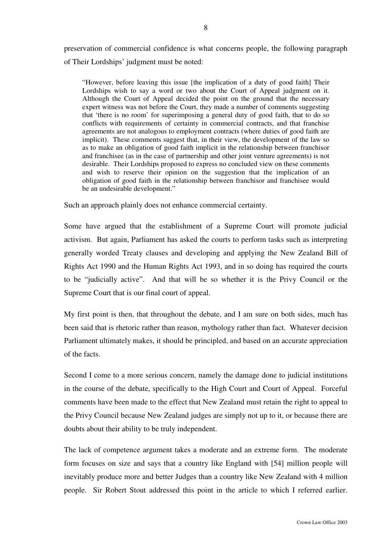preservation of commercial confidence is what concerns people, the following paragraph of Their Lordships' judgment must be noted:

"However, before leaving this issue [the implication of a duty of good faith] Their Lordships wish to say a word or two about the Court of Appeal judgment on it. Although the Court of Appeal decided the point on the ground that the necessary expert witness was not before the Court, they made a number of comments suggesting that 'there is no room' for superimposing a general duty of good faith, that to do so conflicts with requirements of certainty in commercial contracts, and that franchise agreements are not analogous to employment contracts (where duties of good faith are implicit). These comments suggest that, in their view, the development of the law so as to make an obligation of good faith implicit in the relationship between franchisor and franchisee (as in the case of partnership and other joint venture agreements) is not desirable. Their Lordships proposed to express no concluded view on these comments and wish to reserve their opinion on the suggestion that the implication of an obligation of good faith in the relationship between franchisor and franchisee would be an undesirable development."

Such an approach plainly does not enhance commercial certainty.

Some have argued that the establishment of a Supreme Court will promote judicial activism. But again, Parliament has asked the courts to perform tasks such as interpreting generally worded Treaty clauses and developing and applying the New Zealand Bill of Rights Act 1990 and the Human Rights Act 1993, and in so doing has required the courts to be "judicially active". And that will be so whether it is the Privy Council or the Supreme Court that is our final court of appeal.

My first point is then, that throughout the debate, and I am sure on both sides, much has been said that is rhetoric rather than reason, mythology rather than fact. Whatever decision Parliament ultimately makes, it should be principled, and based on an accurate appreciation of the facts.

Second I come to a more serious concern, namely the damage done to judicial institutions in the course of the debate, specifically to the High Court and Court of Appeal. Forceful comments have been made to the effect that New Zealand must retain the right to appeal to the Privy Council because New Zealand judges are simply not up to it, or because there are doubts about their ability to be truly independent.

The lack of competence argument takes a moderate and an extreme form. The moderate form focuses on size and says that a country like England with [54] million people will inevitably produce more and better Judges than a country like New Zealand with 4 million people. Sir Robert Stout addressed this point in the article to which I referred earlier.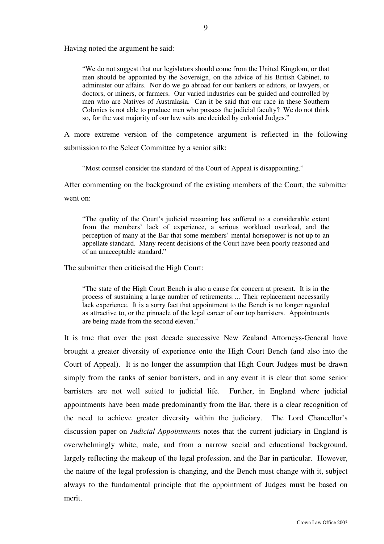Having noted the argument he said:

"We do not suggest that our legislators should come from the United Kingdom, or that men should be appointed by the Sovereign, on the advice of his British Cabinet, to administer our affairs. Nor do we go abroad for our bankers or editors, or lawyers, or doctors, or miners, or farmers. Our varied industries can be guided and controlled by men who are Natives of Australasia. Can it be said that our race in these Southern Colonies is not able to produce men who possess the judicial faculty? We do not think so, for the vast majority of our law suits are decided by colonial Judges."

A more extreme version of the competence argument is reflected in the following submission to the Select Committee by a senior silk:

"Most counsel consider the standard of the Court of Appeal is disappointing."

After commenting on the background of the existing members of the Court, the submitter went on:

"The quality of the Court's judicial reasoning has suffered to a considerable extent from the members' lack of experience, a serious workload overload, and the perception of many at the Bar that some members' mental horsepower is not up to an appellate standard. Many recent decisions of the Court have been poorly reasoned and of an unacceptable standard."

The submitter then criticised the High Court:

"The state of the High Court Bench is also a cause for concern at present. It is in the process of sustaining a large number of retirements…. Their replacement necessarily lack experience. It is a sorry fact that appointment to the Bench is no longer regarded as attractive to, or the pinnacle of the legal career of our top barristers. Appointments are being made from the second eleven."

It is true that over the past decade successive New Zealand Attorneys-General have brought a greater diversity of experience onto the High Court Bench (and also into the Court of Appeal). It is no longer the assumption that High Court Judges must be drawn simply from the ranks of senior barristers, and in any event it is clear that some senior barristers are not well suited to judicial life. Further, in England where judicial appointments have been made predominantly from the Bar, there is a clear recognition of the need to achieve greater diversity within the judiciary. The Lord Chancellor's discussion paper on *Judicial Appointments* notes that the current judiciary in England is overwhelmingly white, male, and from a narrow social and educational background, largely reflecting the makeup of the legal profession, and the Bar in particular. However, the nature of the legal profession is changing, and the Bench must change with it, subject always to the fundamental principle that the appointment of Judges must be based on merit.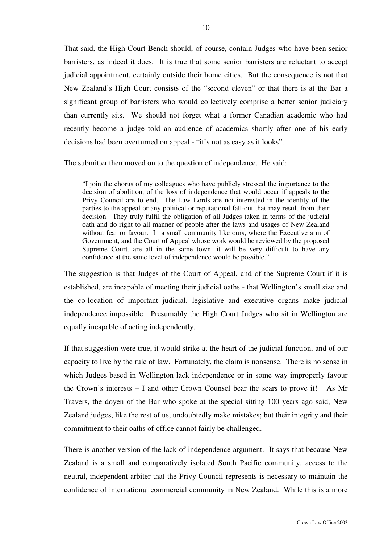That said, the High Court Bench should, of course, contain Judges who have been senior barristers, as indeed it does. It is true that some senior barristers are reluctant to accept judicial appointment, certainly outside their home cities. But the consequence is not that New Zealand's High Court consists of the "second eleven" or that there is at the Bar a significant group of barristers who would collectively comprise a better senior judiciary than currently sits. We should not forget what a former Canadian academic who had recently become a judge told an audience of academics shortly after one of his early decisions had been overturned on appeal - "it's not as easy as it looks".

The submitter then moved on to the question of independence. He said:

"I join the chorus of my colleagues who have publicly stressed the importance to the decision of abolition, of the loss of independence that would occur if appeals to the Privy Council are to end. The Law Lords are not interested in the identity of the parties to the appeal or any political or reputational fall-out that may result from their decision. They truly fulfil the obligation of all Judges taken in terms of the judicial oath and do right to all manner of people after the laws and usages of New Zealand without fear or favour. In a small community like ours, where the Executive arm of Government, and the Court of Appeal whose work would be reviewed by the proposed Supreme Court, are all in the same town, it will be very difficult to have any confidence at the same level of independence would be possible."

The suggestion is that Judges of the Court of Appeal, and of the Supreme Court if it is established, are incapable of meeting their judicial oaths - that Wellington's small size and the co-location of important judicial, legislative and executive organs make judicial independence impossible. Presumably the High Court Judges who sit in Wellington are equally incapable of acting independently.

If that suggestion were true, it would strike at the heart of the judicial function, and of our capacity to live by the rule of law. Fortunately, the claim is nonsense. There is no sense in which Judges based in Wellington lack independence or in some way improperly favour the Crown's interests – I and other Crown Counsel bear the scars to prove it! As Mr Travers, the doyen of the Bar who spoke at the special sitting 100 years ago said, New Zealand judges, like the rest of us, undoubtedly make mistakes; but their integrity and their commitment to their oaths of office cannot fairly be challenged.

There is another version of the lack of independence argument. It says that because New Zealand is a small and comparatively isolated South Pacific community, access to the neutral, independent arbiter that the Privy Council represents is necessary to maintain the confidence of international commercial community in New Zealand. While this is a more